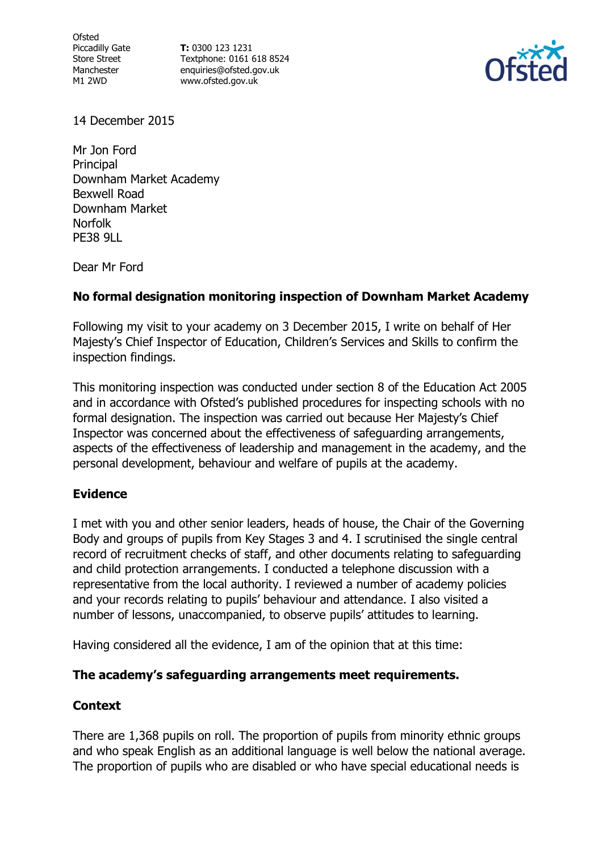Ofsted Piccadilly Gate Store Street Manchester M1 2WD

**T:** 0300 123 1231 Textphone: 0161 618 8524 enquiries@ofsted.gov.uk www.ofsted.gov.uk



14 December 2015

Mr Jon Ford Principal Downham Market Academy Bexwell Road Downham Market Norfolk PE38 9LL

Dear Mr Ford

## **No formal designation monitoring inspection of Downham Market Academy**

Following my visit to your academy on 3 December 2015, I write on behalf of Her Majesty's Chief Inspector of Education, Children's Services and Skills to confirm the inspection findings.

This monitoring inspection was conducted under section 8 of the Education Act 2005 and in accordance with Ofsted's published procedures for inspecting schools with no formal designation. The inspection was carried out because Her Majesty's Chief Inspector was concerned about the effectiveness of safeguarding arrangements, aspects of the effectiveness of leadership and management in the academy, and the personal development, behaviour and welfare of pupils at the academy.

## **Evidence**

I met with you and other senior leaders, heads of house, the Chair of the Governing Body and groups of pupils from Key Stages 3 and 4. I scrutinised the single central record of recruitment checks of staff, and other documents relating to safeguarding and child protection arrangements. I conducted a telephone discussion with a representative from the local authority. I reviewed a number of academy policies and your records relating to pupils' behaviour and attendance. I also visited a number of lessons, unaccompanied, to observe pupils' attitudes to learning.

Having considered all the evidence, I am of the opinion that at this time:

## **The academy's safeguarding arrangements meet requirements.**

# **Context**

There are 1,368 pupils on roll. The proportion of pupils from minority ethnic groups and who speak English as an additional language is well below the national average. The proportion of pupils who are disabled or who have special educational needs is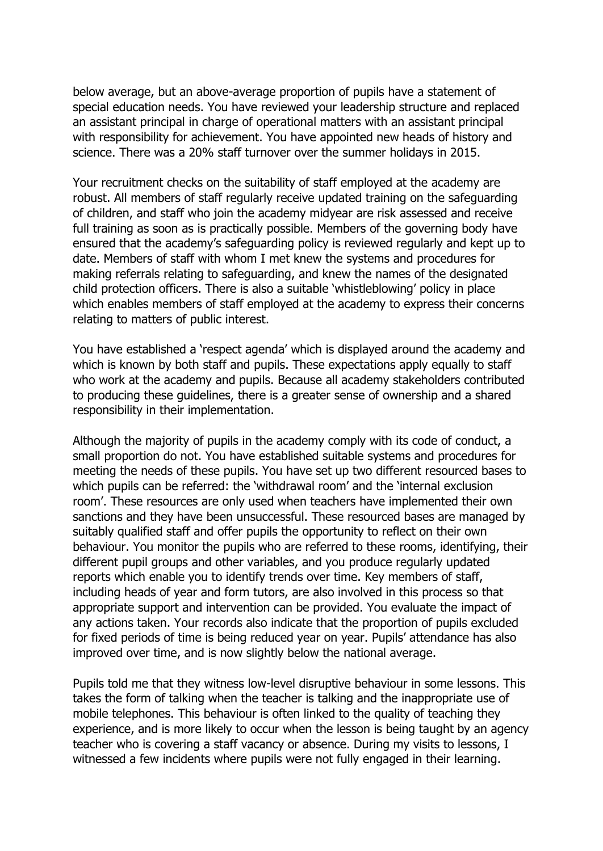below average, but an above-average proportion of pupils have a statement of special education needs. You have reviewed your leadership structure and replaced an assistant principal in charge of operational matters with an assistant principal with responsibility for achievement. You have appointed new heads of history and science. There was a 20% staff turnover over the summer holidays in 2015.

Your recruitment checks on the suitability of staff employed at the academy are robust. All members of staff regularly receive updated training on the safeguarding of children, and staff who join the academy midyear are risk assessed and receive full training as soon as is practically possible. Members of the governing body have ensured that the academy's safeguarding policy is reviewed regularly and kept up to date. Members of staff with whom I met knew the systems and procedures for making referrals relating to safeguarding, and knew the names of the designated child protection officers. There is also a suitable 'whistleblowing' policy in place which enables members of staff employed at the academy to express their concerns relating to matters of public interest.

You have established a 'respect agenda' which is displayed around the academy and which is known by both staff and pupils. These expectations apply equally to staff who work at the academy and pupils. Because all academy stakeholders contributed to producing these guidelines, there is a greater sense of ownership and a shared responsibility in their implementation.

Although the majority of pupils in the academy comply with its code of conduct, a small proportion do not. You have established suitable systems and procedures for meeting the needs of these pupils. You have set up two different resourced bases to which pupils can be referred: the 'withdrawal room' and the 'internal exclusion room'. These resources are only used when teachers have implemented their own sanctions and they have been unsuccessful. These resourced bases are managed by suitably qualified staff and offer pupils the opportunity to reflect on their own behaviour. You monitor the pupils who are referred to these rooms, identifying, their different pupil groups and other variables, and you produce regularly updated reports which enable you to identify trends over time. Key members of staff, including heads of year and form tutors, are also involved in this process so that appropriate support and intervention can be provided. You evaluate the impact of any actions taken. Your records also indicate that the proportion of pupils excluded for fixed periods of time is being reduced year on year. Pupils' attendance has also improved over time, and is now slightly below the national average.

Pupils told me that they witness low-level disruptive behaviour in some lessons. This takes the form of talking when the teacher is talking and the inappropriate use of mobile telephones. This behaviour is often linked to the quality of teaching they experience, and is more likely to occur when the lesson is being taught by an agency teacher who is covering a staff vacancy or absence. During my visits to lessons, I witnessed a few incidents where pupils were not fully engaged in their learning.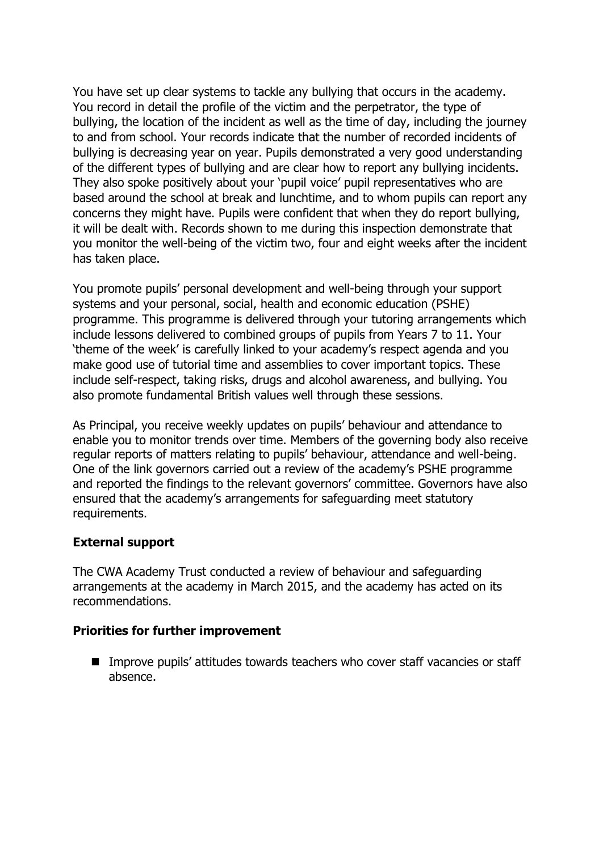You have set up clear systems to tackle any bullying that occurs in the academy. You record in detail the profile of the victim and the perpetrator, the type of bullying, the location of the incident as well as the time of day, including the journey to and from school. Your records indicate that the number of recorded incidents of bullying is decreasing year on year. Pupils demonstrated a very good understanding of the different types of bullying and are clear how to report any bullying incidents. They also spoke positively about your 'pupil voice' pupil representatives who are based around the school at break and lunchtime, and to whom pupils can report any concerns they might have. Pupils were confident that when they do report bullying, it will be dealt with. Records shown to me during this inspection demonstrate that you monitor the well-being of the victim two, four and eight weeks after the incident has taken place.

You promote pupils' personal development and well-being through your support systems and your personal, social, health and economic education (PSHE) programme. This programme is delivered through your tutoring arrangements which include lessons delivered to combined groups of pupils from Years 7 to 11. Your 'theme of the week' is carefully linked to your academy's respect agenda and you make good use of tutorial time and assemblies to cover important topics. These include self-respect, taking risks, drugs and alcohol awareness, and bullying. You also promote fundamental British values well through these sessions.

As Principal, you receive weekly updates on pupils' behaviour and attendance to enable you to monitor trends over time. Members of the governing body also receive regular reports of matters relating to pupils' behaviour, attendance and well-being. One of the link governors carried out a review of the academy's PSHE programme and reported the findings to the relevant governors' committee. Governors have also ensured that the academy's arrangements for safeguarding meet statutory requirements.

## **External support**

The CWA Academy Trust conducted a review of behaviour and safeguarding arrangements at the academy in March 2015, and the academy has acted on its recommendations.

## **Priorities for further improvement**

■ Improve pupils' attitudes towards teachers who cover staff vacancies or staff absence.